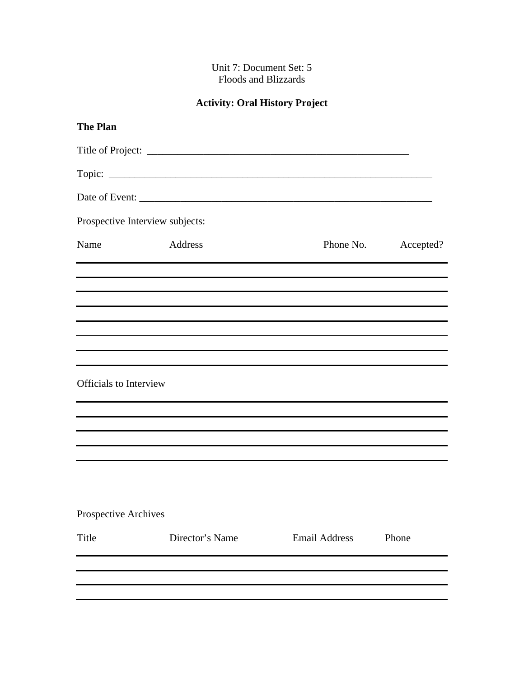## Unit 7: Document Set: 5 Floods and Blizzards

## **Activity: Oral History Project**

| <b>The Plan</b>                 |                 |                      |           |
|---------------------------------|-----------------|----------------------|-----------|
|                                 |                 |                      |           |
|                                 |                 |                      |           |
|                                 |                 |                      |           |
| Prospective Interview subjects: |                 |                      |           |
| Name                            | Address         | Phone No.            | Accepted? |
|                                 |                 |                      |           |
|                                 |                 |                      |           |
|                                 |                 |                      |           |
| <b>Officials</b> to Interview   |                 |                      |           |
|                                 |                 |                      |           |
|                                 |                 |                      |           |
| Prospective Archives            |                 |                      |           |
| Title                           | Director's Name | <b>Email Address</b> | Phone     |
|                                 |                 |                      |           |
|                                 |                 |                      |           |
|                                 |                 |                      |           |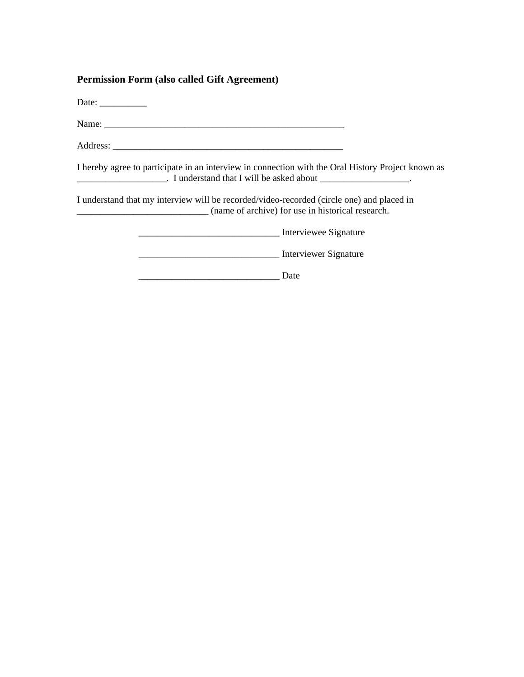## **Permission Form (also called Gift Agreement)**

Date: \_\_\_\_\_\_\_\_\_\_

Name: \_\_\_\_\_\_\_\_\_\_\_\_\_\_\_\_\_\_\_\_\_\_\_\_\_\_\_\_\_\_\_\_\_\_\_\_\_\_\_\_\_\_\_\_\_\_\_\_\_\_\_

Address: \_\_\_\_\_\_\_\_\_\_\_\_\_\_\_\_\_\_\_\_\_\_\_\_\_\_\_\_\_\_\_\_\_\_\_\_\_\_\_\_\_\_\_\_\_\_\_\_\_

I hereby agree to participate in an interview in connection with the Oral History Project known as \_\_\_\_\_\_\_\_\_\_\_\_\_\_\_\_\_\_\_. I understand that I will be asked about \_\_\_\_\_\_\_\_\_\_\_\_\_\_\_\_\_\_\_.

I understand that my interview will be recorded/video-recorded (circle one) and placed in \_\_\_\_\_\_\_\_\_\_\_\_\_\_\_\_\_\_\_\_\_\_\_\_\_\_\_\_ (name of archive) for use in historical research.

\_\_\_\_\_\_\_\_\_\_\_\_\_\_\_\_\_\_\_\_\_\_\_\_\_\_\_\_\_\_ Interviewee Signature

\_\_\_\_\_\_\_\_\_\_\_\_\_\_\_\_\_\_\_\_\_\_\_\_\_\_\_\_\_\_ Interviewer Signature

\_\_\_\_\_\_\_\_\_\_\_\_\_\_\_\_\_\_\_\_\_\_\_\_\_\_\_\_\_\_ Date